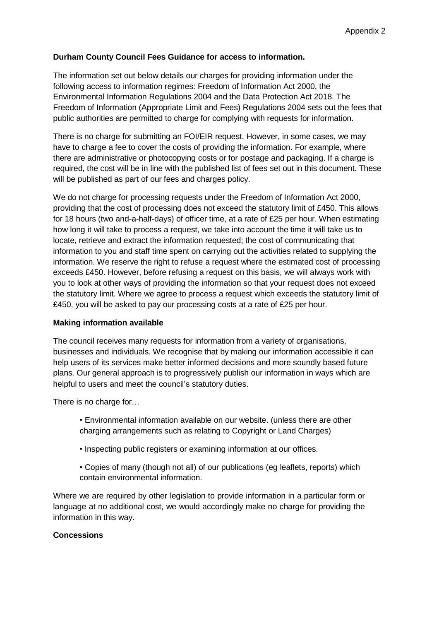# **Durham County Council Fees Guidance for access to information.**

The information set out below details our charges for providing information under the following access to information regimes: Freedom of Information Act 2000, the Environmental Information Regulations 2004 and the Data Protection Act 2018. The Freedom of Information (Appropriate Limit and Fees) Regulations 2004 sets out the fees that public authorities are permitted to charge for complying with requests for information.

There is no charge for submitting an FOI/EIR request. However, in some cases, we may have to charge a fee to cover the costs of providing the information. For example, where there are administrative or photocopying costs or for postage and packaging. If a charge is required, the cost will be in line with the published list of fees set out in this document. These will be published as part of our fees and charges policy.

We do not charge for processing requests under the Freedom of Information Act 2000, providing that the cost of processing does not exceed the statutory limit of £450. This allows for 18 hours (two and-a-half-days) of officer time, at a rate of £25 per hour. When estimating how long it will take to process a request, we take into account the time it will take us to locate, retrieve and extract the information requested; the cost of communicating that information to you and staff time spent on carrying out the activities related to supplying the information. We reserve the right to refuse a request where the estimated cost of processing exceeds £450. However, before refusing a request on this basis, we will always work with you to look at other ways of providing the information so that your request does not exceed the statutory limit. Where we agree to process a request which exceeds the statutory limit of £450, you will be asked to pay our processing costs at a rate of £25 per hour.

### **Making information available**

The council receives many requests for information from a variety of organisations, businesses and individuals. We recognise that by making our information accessible it can help users of its services make better informed decisions and more soundly based future plans. Our general approach is to progressively publish our information in ways which are helpful to users and meet the council's statutory duties.

There is no charge for…

• Environmental information available on our website. (unless there are other charging arrangements such as relating to Copyright or Land Charges)

- Inspecting public registers or examining information at our offices.
- Copies of many (though not all) of our publications (eg leaflets, reports) which contain environmental information.

Where we are required by other legislation to provide information in a particular form or language at no additional cost, we would accordingly make no charge for providing the information in this way.

### **Concessions**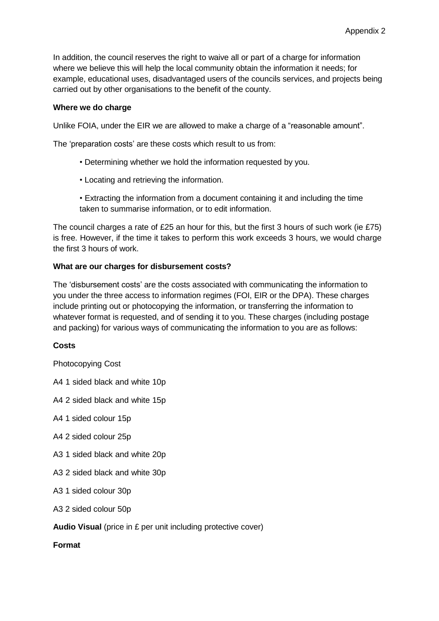In addition, the council reserves the right to waive all or part of a charge for information where we believe this will help the local community obtain the information it needs; for example, educational uses, disadvantaged users of the councils services, and projects being carried out by other organisations to the benefit of the county.

### **Where we do charge**

Unlike FOIA, under the EIR we are allowed to make a charge of a "reasonable amount".

The 'preparation costs' are these costs which result to us from:

- Determining whether we hold the information requested by you.
- Locating and retrieving the information.
- Extracting the information from a document containing it and including the time taken to summarise information, or to edit information.

The council charges a rate of £25 an hour for this, but the first 3 hours of such work (ie £75) is free. However, if the time it takes to perform this work exceeds 3 hours, we would charge the first 3 hours of work.

## **What are our charges for disbursement costs?**

The 'disbursement costs' are the costs associated with communicating the information to you under the three access to information regimes (FOI, EIR or the DPA). These charges include printing out or photocopying the information, or transferring the information to whatever format is requested, and of sending it to you. These charges (including postage and packing) for various ways of communicating the information to you are as follows:

# **Costs**

Photocopying Cost

A4 1 sided black and white 10p

A4 2 sided black and white 15p

- A4 1 sided colour 15p
- A4 2 sided colour 25p
- A3 1 sided black and white 20p
- A3 2 sided black and white 30p
- A3 1 sided colour 30p
- A3 2 sided colour 50p

**Audio Visual** (price in £ per unit including protective cover)

**Format**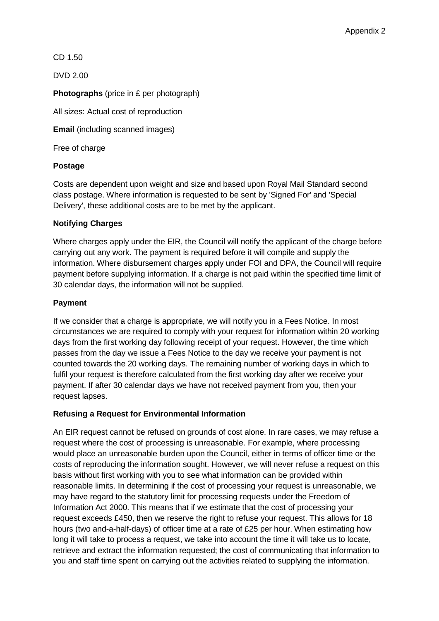CD 1.50

DVD 2.00

**Photographs** (price in £ per photograph)

All sizes: Actual cost of reproduction

**Email** (including scanned images)

Free of charge

### **Postage**

Costs are dependent upon weight and size and based upon Royal Mail Standard second class postage. Where information is requested to be sent by 'Signed For' and 'Special Delivery', these additional costs are to be met by the applicant.

## **Notifying Charges**

Where charges apply under the EIR, the Council will notify the applicant of the charge before carrying out any work. The payment is required before it will compile and supply the information. Where disbursement charges apply under FOI and DPA, the Council will require payment before supplying information. If a charge is not paid within the specified time limit of 30 calendar days, the information will not be supplied.

## **Payment**

If we consider that a charge is appropriate, we will notify you in a Fees Notice. In most circumstances we are required to comply with your request for information within 20 working days from the first working day following receipt of your request. However, the time which passes from the day we issue a Fees Notice to the day we receive your payment is not counted towards the 20 working days. The remaining number of working days in which to fulfil your request is therefore calculated from the first working day after we receive your payment. If after 30 calendar days we have not received payment from you, then your request lapses.

### **Refusing a Request for Environmental Information**

An EIR request cannot be refused on grounds of cost alone. In rare cases, we may refuse a request where the cost of processing is unreasonable. For example, where processing would place an unreasonable burden upon the Council, either in terms of officer time or the costs of reproducing the information sought. However, we will never refuse a request on this basis without first working with you to see what information can be provided within reasonable limits. In determining if the cost of processing your request is unreasonable, we may have regard to the statutory limit for processing requests under the Freedom of Information Act 2000. This means that if we estimate that the cost of processing your request exceeds £450, then we reserve the right to refuse your request. This allows for 18 hours (two and-a-half-days) of officer time at a rate of £25 per hour. When estimating how long it will take to process a request, we take into account the time it will take us to locate, retrieve and extract the information requested; the cost of communicating that information to you and staff time spent on carrying out the activities related to supplying the information.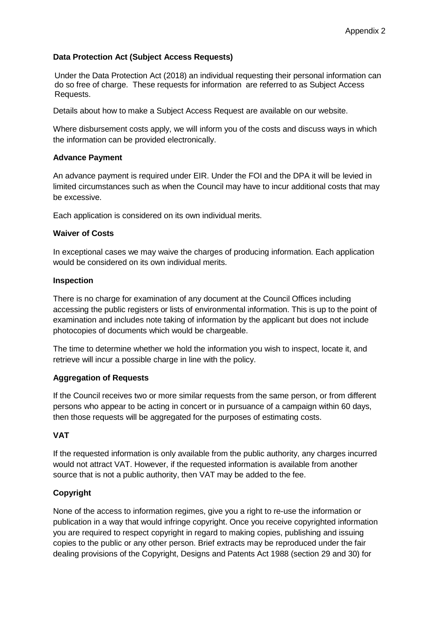## **Data Protection Act (Subject Access Requests)**

Under the Data Protection Act (2018) an individual requesting their personal information can do so free of charge. These requests for information are referred to as Subject Access Requests.

Details about how to make a Subject Access Request are available on our website.

Where disbursement costs apply, we will inform you of the costs and discuss ways in which the information can be provided electronically.

### **Advance Payment**

An advance payment is required under EIR. Under the FOI and the DPA it will be levied in limited circumstances such as when the Council may have to incur additional costs that may be excessive.

Each application is considered on its own individual merits.

### **Waiver of Costs**

In exceptional cases we may waive the charges of producing information. Each application would be considered on its own individual merits.

#### **Inspection**

There is no charge for examination of any document at the Council Offices including accessing the public registers or lists of environmental information. This is up to the point of examination and includes note taking of information by the applicant but does not include photocopies of documents which would be chargeable.

The time to determine whether we hold the information you wish to inspect, locate it, and retrieve will incur a possible charge in line with the policy.

### **Aggregation of Requests**

If the Council receives two or more similar requests from the same person, or from different persons who appear to be acting in concert or in pursuance of a campaign within 60 days, then those requests will be aggregated for the purposes of estimating costs.

### **VAT**

If the requested information is only available from the public authority, any charges incurred would not attract VAT. However, if the requested information is available from another source that is not a public authority, then VAT may be added to the fee.

# **Copyright**

None of the access to information regimes, give you a right to re-use the information or publication in a way that would infringe copyright. Once you receive copyrighted information you are required to respect copyright in regard to making copies, publishing and issuing copies to the public or any other person. Brief extracts may be reproduced under the fair dealing provisions of the Copyright, Designs and Patents Act 1988 (section 29 and 30) for